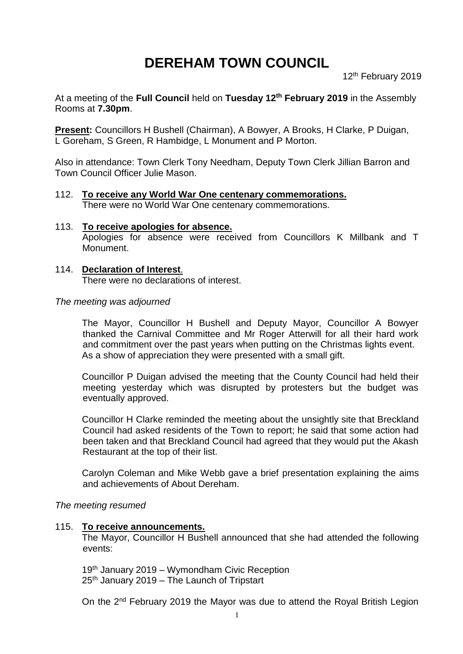# **DEREHAM TOWN COUNCIL**

12<sup>th</sup> February 2019

At a meeting of the **Full Council** held on **Tuesday 12th February 2019** in the Assembly Rooms at **7.30pm**.

**Present:** Councillors H Bushell (Chairman), A Bowyer, A Brooks, H Clarke, P Duigan, L Goreham, S Green, R Hambidge, L Monument and P Morton.

Also in attendance: Town Clerk Tony Needham, Deputy Town Clerk Jillian Barron and Town Council Officer Julie Mason.

- 112. **To receive any World War One centenary commemorations.** There were no World War One centenary commemorations.
- 113. **To receive apologies for absence.** Apologies for absence were received from Councillors K Millbank and T Monument.
- 114. **Declaration of Interest**. There were no declarations of interest.

#### *The meeting was adjourned*

The Mayor, Councillor H Bushell and Deputy Mayor, Councillor A Bowyer thanked the Carnival Committee and Mr Roger Atterwill for all their hard work and commitment over the past years when putting on the Christmas lights event. As a show of appreciation they were presented with a small gift.

Councillor P Duigan advised the meeting that the County Council had held their meeting yesterday which was disrupted by protesters but the budget was eventually approved.

Councillor H Clarke reminded the meeting about the unsightly site that Breckland Council had asked residents of the Town to report; he said that some action had been taken and that Breckland Council had agreed that they would put the Akash Restaurant at the top of their list.

Carolyn Coleman and Mike Webb gave a brief presentation explaining the aims and achievements of About Dereham.

#### *The meeting resumed*

#### 115. **To receive announcements.**

The Mayor, Councillor H Bushell announced that she had attended the following events:

19th January 2019 – Wymondham Civic Reception  $25<sup>th</sup>$  January 2019 – The Launch of Tripstart

On the 2nd February 2019 the Mayor was due to attend the Royal British Legion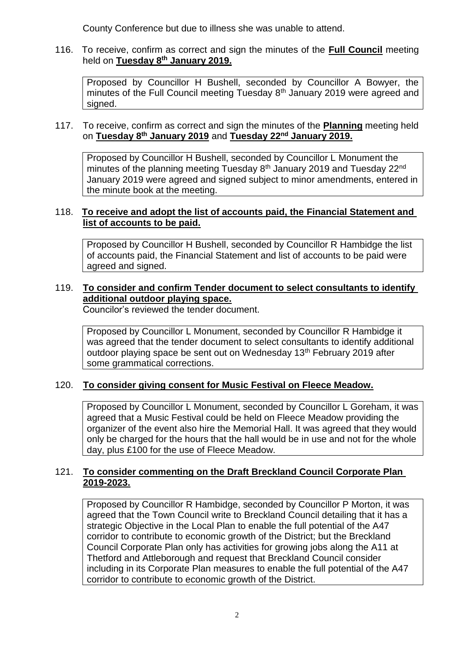County Conference but due to illness she was unable to attend.

#### 116. To receive, confirm as correct and sign the minutes of the **Full Council** meeting held on **Tuesday 8 th January 2019.**

Proposed by Councillor H Bushell, seconded by Councillor A Bowyer, the minutes of the Full Council meeting Tuesday 8<sup>th</sup> January 2019 were agreed and signed.

#### 117. To receive, confirm as correct and sign the minutes of the **Planning** meeting held on **Tuesday 8 th January 2019** and **Tuesday 22nd January 2019.**

Proposed by Councillor H Bushell, seconded by Councillor L Monument the minutes of the planning meeting Tuesday 8<sup>th</sup> January 2019 and Tuesday 22<sup>nd</sup> January 2019 were agreed and signed subject to minor amendments, entered in the minute book at the meeting.

#### 118. **To receive and adopt the list of accounts paid, the Financial Statement and list of accounts to be paid.**

Proposed by Councillor H Bushell, seconded by Councillor R Hambidge the list of accounts paid, the Financial Statement and list of accounts to be paid were agreed and signed.

## 119. **To consider and confirm Tender document to select consultants to identify additional outdoor playing space.**

Councilor's reviewed the tender document.

Proposed by Councillor L Monument, seconded by Councillor R Hambidge it was agreed that the tender document to select consultants to identify additional outdoor playing space be sent out on Wednesday 13<sup>th</sup> February 2019 after some grammatical corrections.

# 120. **To consider giving consent for Music Festival on Fleece Meadow.**

Proposed by Councillor L Monument, seconded by Councillor L Goreham, it was agreed that a Music Festival could be held on Fleece Meadow providing the organizer of the event also hire the Memorial Hall. It was agreed that they would only be charged for the hours that the hall would be in use and not for the whole day, plus £100 for the use of Fleece Meadow.

## 121. **To consider commenting on the Draft Breckland Council Corporate Plan 2019-2023.**

Proposed by Councillor R Hambidge, seconded by Councillor P Morton, it was agreed that the Town Council write to Breckland Council detailing that it has a strategic Objective in the Local Plan to enable the full potential of the A47 corridor to contribute to economic growth of the District; but the Breckland Council Corporate Plan only has activities for growing jobs along the A11 at Thetford and Attleborough and request that Breckland Council consider including in its Corporate Plan measures to enable the full potential of the A47 corridor to contribute to economic growth of the District.